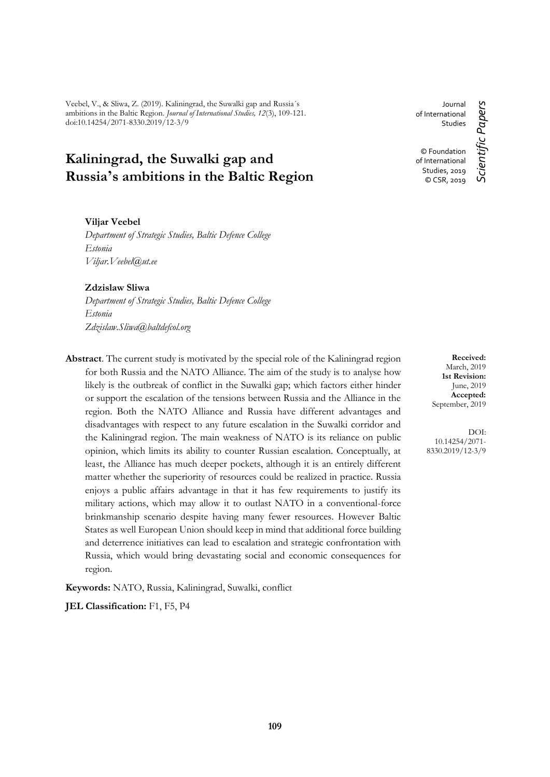Veebel, V., & Sliwa, Z. (2019). Kaliningrad, the Suwalki gap and Russia´s ambitions in the Baltic Region. *Journal of International Studies, 12*(3), 109-121. doi:10.14254/2071-8330.2019/12-3/9

# **Kaliningrad, the Suwalki gap and Russia's ambitions in the Baltic Region**

# **Viljar Veebel**

*Department of Strategic Studies, Baltic Defence College Estonia Viljar.Veebel@ut.ee*

#### **Zdzislaw Sliwa**

*Department of Strategic Studies, Baltic Defence College Estonia Zdzislaw.Sliwa@baltdefcol.org*

**Abstract**. The current study is motivated by the special role of the Kaliningrad region for both Russia and the NATO Alliance. The aim of the study is to analyse how likely is the outbreak of conflict in the Suwalki gap; which factors either hinder or support the escalation of the tensions between Russia and the Alliance in the region. Both the NATO Alliance and Russia have different advantages and disadvantages with respect to any future escalation in the Suwalki corridor and the Kaliningrad region. The main weakness of NATO is its reliance on public opinion, which limits its ability to counter Russian escalation. Conceptually, at least, the Alliance has much deeper pockets, although it is an entirely different matter whether the superiority of resources could be realized in practice. Russia enjoys a public affairs advantage in that it has few requirements to justify its military actions, which may allow it to outlast NATO in a conventional-force brinkmanship scenario despite having many fewer resources. However Baltic States as well European Union should keep in mind that additional force building and deterrence initiatives can lead to escalation and strategic confrontation with Russia, which would bring devastating social and economic consequences for region.

**Keywords:** NATO, Russia, Kaliningrad, Suwalki, conflict

**JEL Classification:** F1, F5, P4

Journal of International Studies © Foundation of International Studies, 2019 © CSR, 2019

Scientific Papers *Scientific Papers*

**Received:** March, 2019 **1st Revision:** June, 2019 **Accepted:** September, 2019

DOI: 10.14254/2071- 8330.2019/12-3/9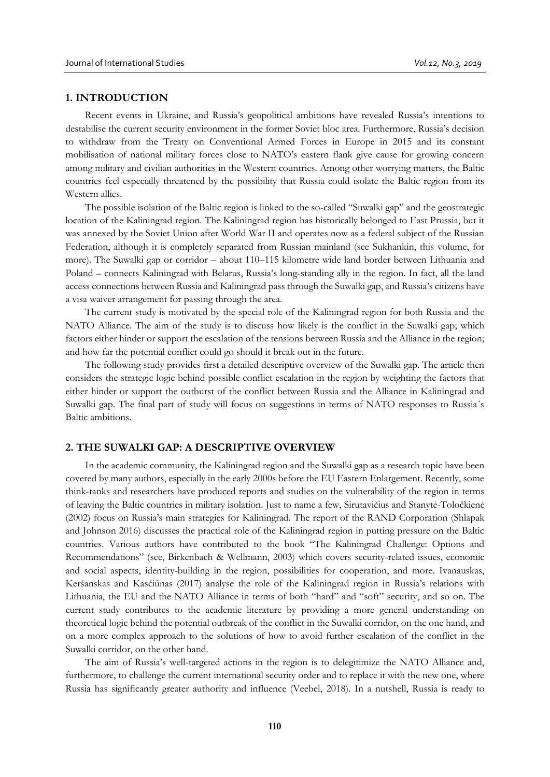# **1. INTRODUCTION**

Recent events in Ukraine, and Russia's geopolitical ambitions have revealed Russia's intentions to destabilise the current security environment in the former Soviet bloc area. Furthermore, Russia's decision to withdraw from the Treaty on Conventional Armed Forces in Europe in 2015 and its constant mobilisation of national military forces close to NATO's eastern flank give cause for growing concern among military and civilian authorities in the Western countries. Among other worrying matters, the Baltic countries feel especially threatened by the possibility that Russia could isolate the Baltic region from its Western allies.

The possible isolation of the Baltic region is linked to the so-called "Suwalki gap" and the geostrategic location of the Kaliningrad region. The Kaliningrad region has historically belonged to East Prussia, but it was annexed by the Soviet Union after World War II and operates now as a federal subject of the Russian Federation, although it is completely separated from Russian mainland (see Sukhankin, this volume, for more). The Suwalki gap or corridor – about 110–115 kilometre wide land border between Lithuania and Poland – connects Kaliningrad with Belarus, Russia's long-standing ally in the region. In fact, all the land access connections between Russia and Kaliningrad pass through the Suwalki gap, and Russia's citizens have a visa waiver arrangement for passing through the area.

The current study is motivated by the special role of the Kaliningrad region for both Russia and the NATO Alliance. The aim of the study is to discuss how likely is the conflict in the Suwalki gap; which factors either hinder or support the escalation of the tensions between Russia and the Alliance in the region; and how far the potential conflict could go should it break out in the future.

The following study provides first a detailed descriptive overview of the Suwalki gap. The article then considers the strategic logic behind possible conflict escalation in the region by weighting the factors that either hinder or support the outburst of the conflict between Russia and the Alliance in Kaliningrad and Suwalki gap. The final part of study will focus on suggestions in terms of NATO responses to Russia´s Baltic ambitions.

#### **2. THE SUWALKI GAP: A DESCRIPTIVE OVERVIEW**

In the academic community, the Kaliningrad region and the Suwalki gap as a research topic have been covered by many authors, especially in the early 2000s before the EU Eastern Enlargement. Recently, some think-tanks and researchers have produced reports and studies on the vulnerability of the region in terms of leaving the Baltic countries in military isolation. Just to name a few, Sirutavičius and Stanytė-Toločkienė (2002) focus on Russia's main strategies for Kaliningrad. The report of the RAND Corporation (Shlapak and Johnson 2016) discusses the practical role of the Kaliningrad region in putting pressure on the Baltic countries. Various authors have contributed to the book "The Kaliningrad Challenge: Options and Recommendations" (see, Birkenbach & Wellmann, 2003) which covers security-related issues, economic and social aspects, identity-building in the region, possibilities for cooperation, and more. Ivanauskas, Keršanskas and Kasčiūnas (2017) analyse the role of the Kaliningrad region in Russia's relations with Lithuania, the EU and the NATO Alliance in terms of both "hard" and "soft" security, and so on. The current study contributes to the academic literature by providing a more general understanding on theoretical logic behind the potential outbreak of the conflict in the Suwalki corridor, on the one hand, and on a more complex approach to the solutions of how to avoid further escalation of the conflict in the Suwalki corridor, on the other hand.

The aim of Russia's well-targeted actions in the region is to delegitimize the NATO Alliance and, furthermore, to challenge the current international security order and to replace it with the new one, where Russia has significantly greater authority and influence (Veebel, 2018). In a nutshell, Russia is ready to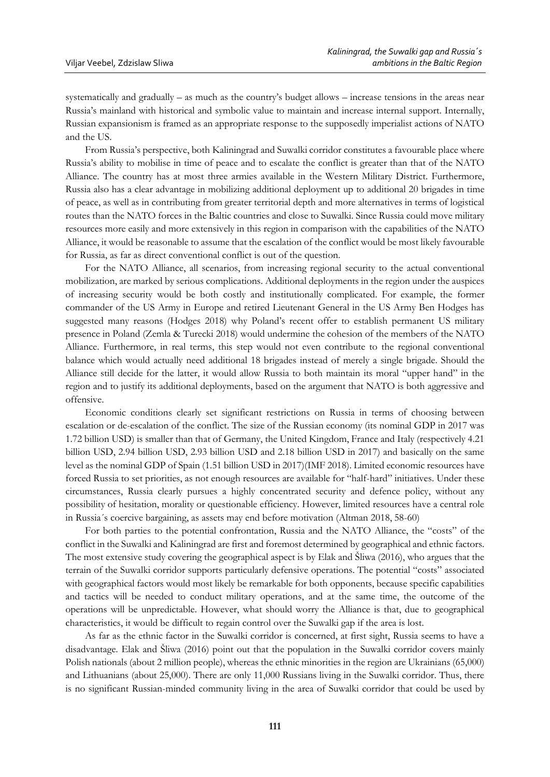systematically and gradually – as much as the country's budget allows – increase tensions in the areas near Russia's mainland with historical and symbolic value to maintain and increase internal support. Internally, Russian expansionism is framed as an appropriate response to the supposedly imperialist actions of NATO and the US.

From Russia's perspective, both Kaliningrad and Suwalki corridor constitutes a favourable place where Russia's ability to mobilise in time of peace and to escalate the conflict is greater than that of the NATO Alliance. The country has at most three armies available in the Western Military District. Furthermore, Russia also has a clear advantage in mobilizing additional deployment up to additional 20 brigades in time of peace, as well as in contributing from greater territorial depth and more alternatives in terms of logistical routes than the NATO forces in the Baltic countries and close to Suwalki. Since Russia could move military resources more easily and more extensively in this region in comparison with the capabilities of the NATO Alliance, it would be reasonable to assume that the escalation of the conflict would be most likely favourable for Russia, as far as direct conventional conflict is out of the question.

For the NATO Alliance, all scenarios, from increasing regional security to the actual conventional mobilization, are marked by serious complications. Additional deployments in the region under the auspices of increasing security would be both costly and institutionally complicated. For example, the former commander of the US Army in Europe and retired Lieutenant General in the US Army Ben Hodges has suggested many reasons (Hodges 2018) why Poland's recent offer to establish permanent US military presence in Poland (Zemla & Turecki 2018) would undermine the cohesion of the members of the NATO Alliance. Furthermore, in real terms, this step would not even contribute to the regional conventional balance which would actually need additional 18 brigades instead of merely a single brigade. Should the Alliance still decide for the latter, it would allow Russia to both maintain its moral "upper hand" in the region and to justify its additional deployments, based on the argument that NATO is both aggressive and offensive.

Economic conditions clearly set significant restrictions on Russia in terms of choosing between escalation or de-escalation of the conflict. The size of the Russian economy (its nominal GDP in 2017 was 1.72 billion USD) is smaller than that of Germany, the United Kingdom, France and Italy (respectively 4.21 billion USD, 2.94 billion USD, 2.93 billion USD and 2.18 billion USD in 2017) and basically on the same level as the nominal GDP of Spain (1.51 billion USD in 2017)(IMF 2018). Limited economic resources have forced Russia to set priorities, as not enough resources are available for "half-hard" initiatives. Under these circumstances, Russia clearly pursues a highly concentrated security and defence policy, without any possibility of hesitation, morality or questionable efficiency. However, limited resources have a central role in Russia´s coercive bargaining, as assets may end before motivation (Altman 2018, 58-60)

For both parties to the potential confrontation, Russia and the NATO Alliance, the "costs" of the conflict in the Suwalki and Kaliningrad are first and foremost determined by geographical and ethnic factors. The most extensive study covering the geographical aspect is by Elak and Šliwa (2016), who argues that the terrain of the Suwalki corridor supports particularly defensive operations. The potential "costs" associated with geographical factors would most likely be remarkable for both opponents, because specific capabilities and tactics will be needed to conduct military operations, and at the same time, the outcome of the operations will be unpredictable. However, what should worry the Alliance is that, due to geographical characteristics, it would be difficult to regain control over the Suwalki gap if the area is lost.

As far as the ethnic factor in the Suwalki corridor is concerned, at first sight, Russia seems to have a disadvantage. Elak and Šliwa (2016) point out that the population in the Suwalki corridor covers mainly Polish nationals (about 2 million people), whereas the ethnic minorities in the region are Ukrainians (65,000) and Lithuanians (about 25,000). There are only 11,000 Russians living in the Suwalki corridor. Thus, there is no significant Russian-minded community living in the area of Suwalki corridor that could be used by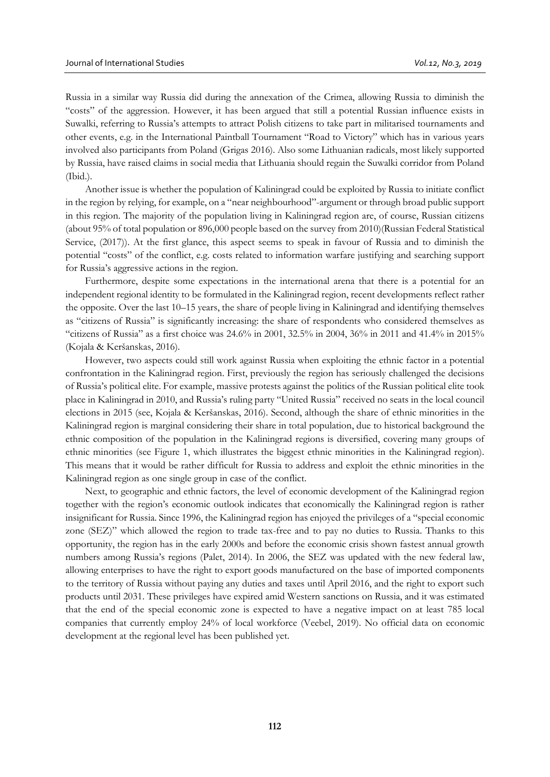Russia in a similar way Russia did during the annexation of the Crimea, allowing Russia to diminish the "costs" of the aggression. However, it has been argued that still a potential Russian influence exists in Suwalki, referring to Russia's attempts to attract Polish citizens to take part in militarised tournaments and other events, e.g. in the International Paintball Tournament "Road to Victory" which has in various years involved also participants from Poland (Grigas 2016). Also some Lithuanian radicals, most likely supported by Russia, have raised claims in social media that Lithuania should regain the Suwalki corridor from Poland (Ibid.).

Another issue is whether the population of Kaliningrad could be exploited by Russia to initiate conflict in the region by relying, for example, on a "near neighbourhood"-argument or through broad public support in this region. The majority of the population living in Kaliningrad region are, of course, Russian citizens (about 95% of total population or 896,000 people based on the survey from 2010)(Russian Federal Statistical Service, (2017)). At the first glance, this aspect seems to speak in favour of Russia and to diminish the potential "costs" of the conflict, e.g. costs related to information warfare justifying and searching support for Russia's aggressive actions in the region.

Furthermore, despite some expectations in the international arena that there is a potential for an independent regional identity to be formulated in the Kaliningrad region, recent developments reflect rather the opposite. Over the last 10–15 years, the share of people living in Kaliningrad and identifying themselves as "citizens of Russia" is significantly increasing: the share of respondents who considered themselves as "citizens of Russia" as a first choice was 24.6% in 2001, 32.5% in 2004, 36% in 2011 and 41.4% in 2015% (Kojala & Keršanskas, 2016).

However, two aspects could still work against Russia when exploiting the ethnic factor in a potential confrontation in the Kaliningrad region. First, previously the region has seriously challenged the decisions of Russia's political elite. For example, massive protests against the politics of the Russian political elite took place in Kaliningrad in 2010, and Russia's ruling party "United Russia" received no seats in the local council elections in 2015 (see, Kojala & Keršanskas, 2016). Second, although the share of ethnic minorities in the Kaliningrad region is marginal considering their share in total population, due to historical background the ethnic composition of the population in the Kaliningrad regions is diversified, covering many groups of ethnic minorities (see Figure 1, which illustrates the biggest ethnic minorities in the Kaliningrad region). This means that it would be rather difficult for Russia to address and exploit the ethnic minorities in the Kaliningrad region as one single group in case of the conflict.

Next, to geographic and ethnic factors, the level of economic development of the Kaliningrad region together with the region's economic outlook indicates that economically the Kaliningrad region is rather insignificant for Russia. Since 1996, the Kaliningrad region has enjoyed the privileges of a "special economic zone (SEZ)" which allowed the region to trade tax-free and to pay no duties to Russia. Thanks to this opportunity, the region has in the early 2000s and before the economic crisis shown fastest annual growth numbers among Russia's regions (Palet, 2014). In 2006, the SEZ was updated with the new federal law, allowing enterprises to have the right to export goods manufactured on the base of imported components to the territory of Russia without paying any duties and taxes until April 2016, and the right to export such products until 2031. These privileges have expired amid Western sanctions on Russia, and it was estimated that the end of the special economic zone is expected to have a negative impact on at least 785 local companies that currently employ 24% of local workforce (Veebel, 2019). No official data on economic development at the regional level has been published yet.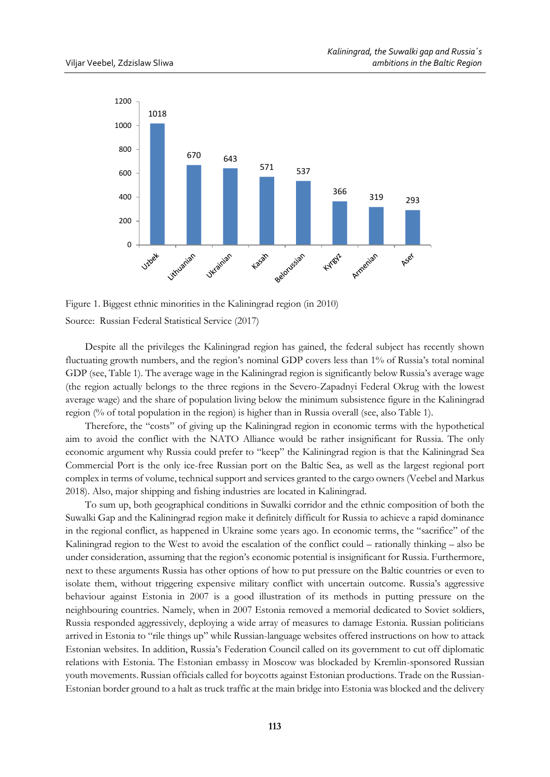

Figure 1. Biggest ethnic minorities in the Kaliningrad region (in 2010) Source: Russian Federal Statistical Service (2017)

Despite all the privileges the Kaliningrad region has gained, the federal subject has recently shown fluctuating growth numbers, and the region's nominal GDP covers less than 1% of Russia's total nominal GDP (see, Table 1). The average wage in the Kaliningrad region is significantly below Russia's average wage (the region actually belongs to the three regions in the Severo-Zapadnyi Federal Okrug with the lowest average wage) and the share of population living below the minimum subsistence figure in the Kaliningrad region (% of total population in the region) is higher than in Russia overall (see, also Table 1).

Therefore, the "costs" of giving up the Kaliningrad region in economic terms with the hypothetical aim to avoid the conflict with the NATO Alliance would be rather insignificant for Russia. The only economic argument why Russia could prefer to "keep" the Kaliningrad region is that the Kaliningrad Sea Commercial Port is the only ice-free Russian port on the Baltic Sea, as well as the largest regional port complex in terms of volume, technical support and services granted to the cargo owners (Veebel and Markus 2018). Also, major shipping and fishing industries are located in Kaliningrad.

To sum up, both geographical conditions in Suwalki corridor and the ethnic composition of both the Suwalki Gap and the Kaliningrad region make it definitely difficult for Russia to achieve a rapid dominance in the regional conflict, as happened in Ukraine some years ago. In economic terms, the "sacrifice" of the Kaliningrad region to the West to avoid the escalation of the conflict could – rationally thinking – also be under consideration, assuming that the region's economic potential is insignificant for Russia. Furthermore, next to these arguments Russia has other options of how to put pressure on the Baltic countries or even to isolate them, without triggering expensive military conflict with uncertain outcome. Russia's aggressive behaviour against Estonia in 2007 is a good illustration of its methods in putting pressure on the neighbouring countries. Namely, when in 2007 Estonia removed a memorial dedicated to Soviet soldiers, Russia responded aggressively, deploying a wide array of measures to damage Estonia. Russian politicians arrived in Estonia to "rile things up" while Russian-language websites offered instructions on how to attack Estonian websites. In addition, Russia's Federation Council called on its government to cut off diplomatic relations with Estonia. The Estonian embassy in Moscow was blockaded by Kremlin-sponsored Russian youth movements. Russian officials called for boycotts against Estonian productions. Trade on the Russian-Estonian border ground to a halt as truck traffic at the main bridge into Estonia was blocked and the delivery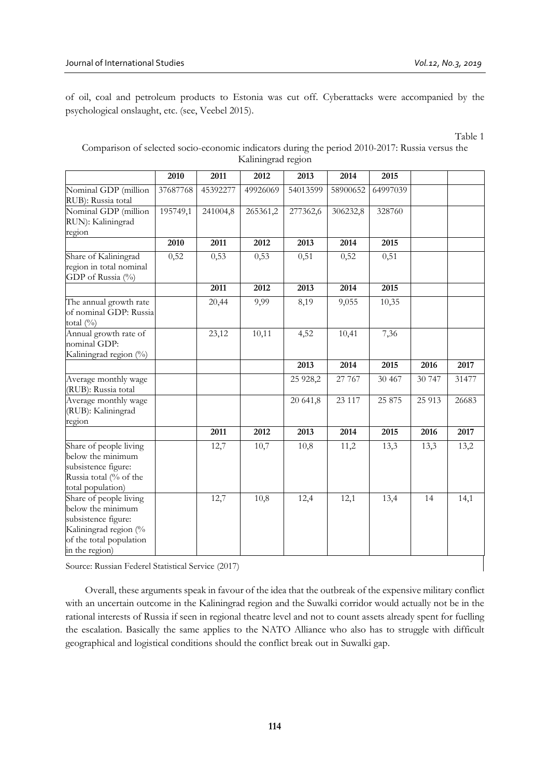of oil, coal and petroleum products to Estonia was cut off. Cyberattacks were accompanied by the psychological onslaught, etc. (see, Veebel 2015).

Table 1

# Comparison of selected socio-economic indicators during the period 2010-2017: Russia versus the Kaliningrad region

|                                                                                                                                          | 2010     | 2011     | 2012     | 2013       | 2014     | 2015     |        |       |
|------------------------------------------------------------------------------------------------------------------------------------------|----------|----------|----------|------------|----------|----------|--------|-------|
| Nominal GDP (million<br>RUB): Russia total                                                                                               | 37687768 | 45392277 | 49926069 | 54013599   | 58900652 | 64997039 |        |       |
| Nominal GDP (million<br>RUN): Kaliningrad<br>region                                                                                      | 195749,1 | 241004,8 | 265361,2 | 277362,6   | 306232,8 | 328760   |        |       |
|                                                                                                                                          | 2010     | 2011     | 2012     | 2013       | 2014     | 2015     |        |       |
| Share of Kaliningrad<br>region in total nominal<br>GDP of Russia (%)                                                                     | 0,52     | 0,53     | 0,53     | 0,51       | 0,52     | 0,51     |        |       |
|                                                                                                                                          |          | 2011     | 2012     | 2013       | 2014     | 2015     |        |       |
| The annual growth rate<br>of nominal GDP: Russia<br>total $(\%)$                                                                         |          | 20,44    | 9,99     | 8,19       | 9,055    | 10,35    |        |       |
| Annual growth rate of<br>nominal GDP:<br>Kaliningrad region (%)                                                                          |          | 23,12    | 10,11    | 4,52       | 10,41    | 7,36     |        |       |
|                                                                                                                                          |          |          |          | 2013       | 2014     | 2015     | 2016   | 2017  |
| Average monthly wage<br>(RUB): Russia total                                                                                              |          |          |          | 25 9 28, 2 | 27 767   | 30 467   | 30 747 | 31477 |
| Average monthly wage<br>(RUB): Kaliningrad<br>region                                                                                     |          |          |          | 20 641,8   | 23 117   | 25 875   | 25 913 | 26683 |
|                                                                                                                                          |          | 2011     | 2012     | 2013       | 2014     | 2015     | 2016   | 2017  |
| Share of people living<br>below the minimum<br>subsistence figure:<br>Russia total (% of the<br>total population)                        |          | 12,7     | 10,7     | 10,8       | 11,2     | 13,3     | 13,3   | 13,2  |
| Share of people living<br>below the minimum<br>subsistence figure:<br>Kaliningrad region (%<br>of the total population<br>in the region) |          | 12,7     | 10,8     | 12,4       | 12,1     | 13,4     | 14     | 14,1  |

Source: Russian Federel Statistical Service (2017)

Overall, these arguments speak in favour of the idea that the outbreak of the expensive military conflict with an uncertain outcome in the Kaliningrad region and the Suwalki corridor would actually not be in the rational interests of Russia if seen in regional theatre level and not to count assets already spent for fuelling the escalation. Basically the same applies to the NATO Alliance who also has to struggle with difficult geographical and logistical conditions should the conflict break out in Suwalki gap.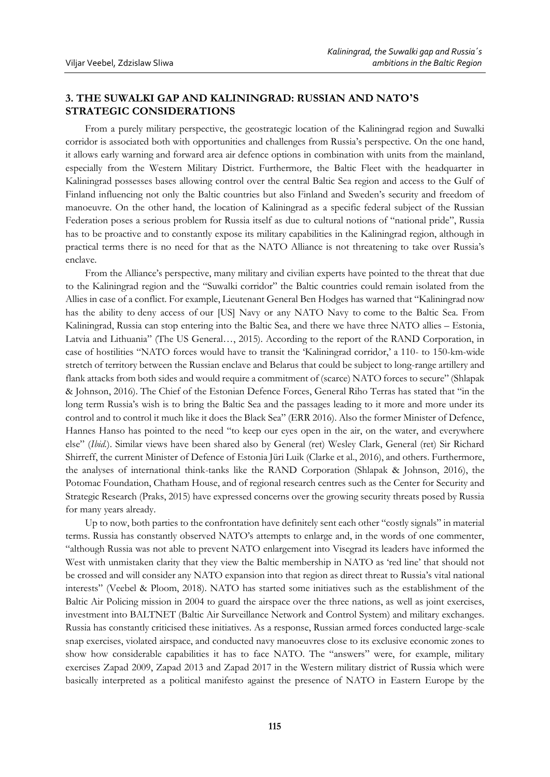# **3. THE SUWALKI GAP AND KALININGRAD: RUSSIAN AND NATO'S STRATEGIC CONSIDERATIONS**

From a purely military perspective, the geostrategic location of the Kaliningrad region and Suwalki corridor is associated both with opportunities and challenges from Russia's perspective. On the one hand, it allows early warning and forward area air defence options in combination with units from the mainland, especially from the Western Military District. Furthermore, the Baltic Fleet with the headquarter in Kaliningrad possesses bases allowing control over the central Baltic Sea region and access to the Gulf of Finland influencing not only the Baltic countries but also Finland and Sweden's security and freedom of manoeuvre. On the other hand, the location of Kaliningrad as a specific federal subject of the Russian Federation poses a serious problem for Russia itself as due to cultural notions of "national pride", Russia has to be proactive and to constantly expose its military capabilities in the Kaliningrad region, although in practical terms there is no need for that as the NATO Alliance is not threatening to take over Russia's enclave.

From the Alliance's perspective, many military and civilian experts have pointed to the threat that due to the Kaliningrad region and the "Suwalki corridor" the Baltic countries could remain isolated from the Allies in case of a conflict. For example, Lieutenant General Ben Hodges has warned that "Kaliningrad now has the ability to deny access of our [US] Navy or any NATO Navy to come to the Baltic Sea. From Kaliningrad, Russia can stop entering into the Baltic Sea, and there we have three NATO allies – Estonia, Latvia and Lithuania" (The US General…, 2015). According to the report of the RAND Corporation, in case of hostilities "NATO forces would have to transit the 'Kaliningrad corridor,' a 110- to 150-km-wide stretch of territory between the Russian enclave and Belarus that could be subject to long-range artillery and flank attacks from both sides and would require a commitment of (scarce) NATO forces to secure" (Shlapak & Johnson, 2016). The Chief of the Estonian Defence Forces, General Riho Terras has stated that "in the long term Russia's wish is to bring the Baltic Sea and the passages leading to it more and more under its control and to control it much like it does the Black Sea" (ERR 2016). Also the former Minister of Defence, Hannes Hanso has pointed to the need "to keep our eyes open in the air, on the water, and everywhere else" (*Ibid.*). Similar views have been shared also by General (ret) Wesley Clark, General (ret) Sir Richard Shirreff, the current Minister of Defence of Estonia Jüri Luik (Clarke et al., 2016), and others. Furthermore, the analyses of international think-tanks like the RAND Corporation (Shlapak & Johnson, 2016), the Potomac Foundation, Chatham House, and of regional research centres such as the Center for Security and Strategic Research (Praks, 2015) have expressed concerns over the growing security threats posed by Russia for many years already.

Up to now, both parties to the confrontation have definitely sent each other "costly signals" in material terms. Russia has constantly observed NATO's attempts to enlarge and, in the words of one commenter, "although Russia was not able to prevent NATO enlargement into Visegrad its leaders have informed the West with unmistaken clarity that they view the Baltic membership in NATO as 'red line' that should not be crossed and will consider any NATO expansion into that region as direct threat to Russia's vital national interests" (Veebel & Ploom, 2018). NATO has started some initiatives such as the establishment of the Baltic Air Policing mission in 2004 to guard the airspace over the three nations, as well as joint exercises, investment into BALTNET (Baltic Air Surveillance Network and Control System) and military exchanges. Russia has constantly criticised these initiatives. As a response, Russian armed forces conducted large-scale snap exercises, violated airspace, and conducted navy manoeuvres close to its exclusive economic zones to show how considerable capabilities it has to face NATO. The "answers" were, for example, military exercises Zapad 2009, Zapad 2013 and Zapad 2017 in the Western military district of Russia which were basically interpreted as a political manifesto against the presence of NATO in Eastern Europe by the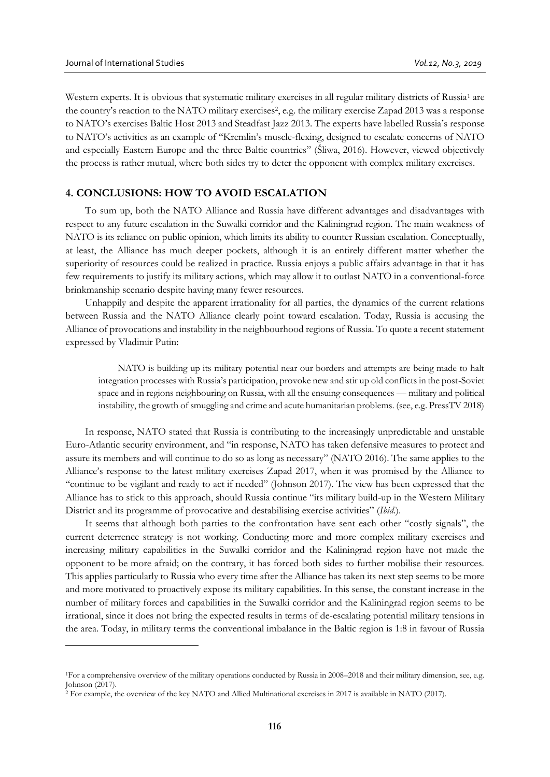$\overline{a}$ 

Western experts. It is obvious that systematic military exercises in all regular military districts of Russia<sup>1</sup> are the country's reaction to the NATO military exercises<sup>2</sup>, e.g. the military exercise Zapad 2013 was a response to NATO's exercises Baltic Host 2013 and Steadfast Jazz 2013. The experts have labelled Russia's response to NATO's activities as an example of "Kremlin's muscle-flexing, designed to escalate concerns of NATO and especially Eastern Europe and the three Baltic countries" (Šliwa, 2016). However, viewed objectively the process is rather mutual, where both sides try to deter the opponent with complex military exercises.

# **4. CONCLUSIONS: HOW TO AVOID ESCALATION**

To sum up, both the NATO Alliance and Russia have different advantages and disadvantages with respect to any future escalation in the Suwalki corridor and the Kaliningrad region. The main weakness of NATO is its reliance on public opinion, which limits its ability to counter Russian escalation. Conceptually, at least, the Alliance has much deeper pockets, although it is an entirely different matter whether the superiority of resources could be realized in practice. Russia enjoys a public affairs advantage in that it has few requirements to justify its military actions, which may allow it to outlast NATO in a conventional-force brinkmanship scenario despite having many fewer resources.

Unhappily and despite the apparent irrationality for all parties, the dynamics of the current relations between Russia and the NATO Alliance clearly point toward escalation. Today, Russia is accusing the Alliance of provocations and instability in the neighbourhood regions of Russia. To quote a recent statement expressed by Vladimir Putin:

NATO is building up its military potential near our borders and attempts are being made to halt integration processes with Russia's participation, provoke new and stir up old conflicts in the post-Soviet space and in regions neighbouring on Russia, with all the ensuing consequences — military and political instability, the growth of smuggling and crime and acute humanitarian problems. (see, e.g. PressTV 2018)

In response, NATO stated that Russia is contributing to the increasingly unpredictable and unstable Euro-Atlantic security environment, and "in response, NATO has taken defensive measures to protect and assure its members and will continue to do so as long as necessary" (NATO 2016). The same applies to the Alliance's response to the latest military exercises Zapad 2017, when it was promised by the Alliance to "continue to be vigilant and ready to act if needed" (Johnson 2017). The view has been expressed that the Alliance has to stick to this approach, should Russia continue "its military build-up in the Western Military District and its programme of provocative and destabilising exercise activities" (*Ibid.*).

It seems that although both parties to the confrontation have sent each other "costly signals", the current deterrence strategy is not working. Conducting more and more complex military exercises and increasing military capabilities in the Suwalki corridor and the Kaliningrad region have not made the opponent to be more afraid; on the contrary, it has forced both sides to further mobilise their resources. This applies particularly to Russia who every time after the Alliance has taken its next step seems to be more and more motivated to proactively expose its military capabilities. In this sense, the constant increase in the number of military forces and capabilities in the Suwalki corridor and the Kaliningrad region seems to be irrational, since it does not bring the expected results in terms of de-escalating potential military tensions in the area. Today, in military terms the conventional imbalance in the Baltic region is 1:8 in favour of Russia

<sup>1</sup>For a comprehensive overview of the military operations conducted by Russia in 2008–2018 and their military dimension, see, e.g. Johnson (2017).

<sup>2</sup> For example, the overview of the key NATO and Allied Multinational exercises in 2017 is available in NATO (2017).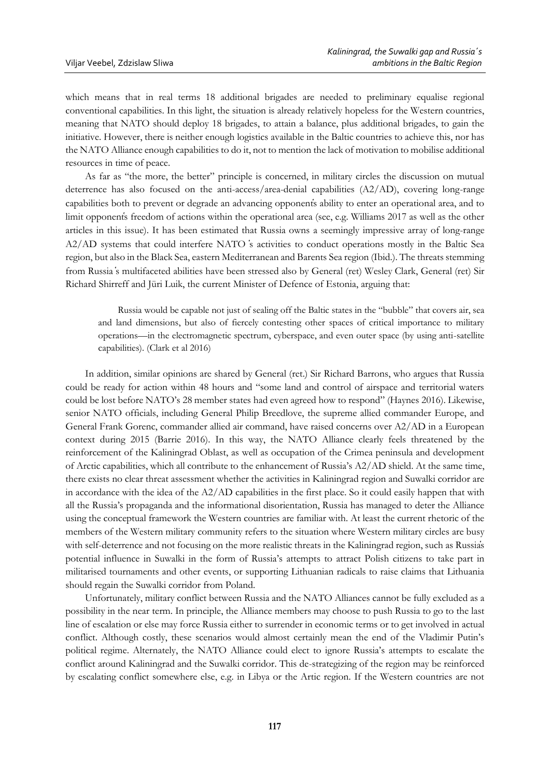which means that in real terms 18 additional brigades are needed to preliminary equalise regional conventional capabilities. In this light, the situation is already relatively hopeless for the Western countries, meaning that NATO should deploy 18 brigades, to attain a balance, plus additional brigades, to gain the initiative. However, there is neither enough logistics available in the Baltic countries to achieve this, nor has the NATO Alliance enough capabilities to do it, not to mention the lack of motivation to mobilise additional resources in time of peace.

As far as "the more, the better" principle is concerned, in military circles the discussion on mutual deterrence has also focused on the anti-access/area-denial capabilities (A2/AD), covering long-range capabilities both to prevent or degrade an advancing opponent҅s ability to enter an operational area, and to limit opponent҅s freedom of actions within the operational area (see, e.g. Williams 2017 as well as the other articles in this issue). It has been estimated that Russia owns a seemingly impressive array of long-range A2/AD systems that could interfere NATO ҅s activities to conduct operations mostly in the Baltic Sea region, but also in the Black Sea, eastern Mediterranean and Barents Sea region (Ibid.). The threats stemming from Russia ҅s multifaceted abilities have been stressed also by General (ret) Wesley Clark, General (ret) Sir Richard Shirreff and Jüri Luik, the current Minister of Defence of Estonia, arguing that:

Russia would be capable not just of sealing off the Baltic states in the "bubble" that covers air, sea and land dimensions, but also of fiercely contesting other spaces of critical importance to military operations—in the electromagnetic spectrum, cyberspace, and even outer space (by using anti-satellite capabilities). (Clark et al 2016)

In addition, similar opinions are shared by General (ret.) Sir Richard Barrons, who argues that Russia could be ready for action within 48 hours and "some land and control of airspace and territorial waters could be lost before NATO's 28 member states had even agreed how to respond" (Haynes 2016). Likewise, senior NATO officials, including General Philip Breedlove, the supreme allied commander Europe, and General Frank Gorenc, commander allied air command, have raised concerns over A2/AD in a European context during 2015 (Barrie 2016). In this way, the NATO Alliance clearly feels threatened by the reinforcement of the Kaliningrad Oblast, as well as occupation of the Crimea peninsula and development of Arctic capabilities, which all contribute to the enhancement of Russia's A2/AD shield. At the same time, there exists no clear threat assessment whether the activities in Kaliningrad region and Suwalki corridor are in accordance with the idea of the A2/AD capabilities in the first place. So it could easily happen that with all the Russia's propaganda and the informational disorientation, Russia has managed to deter the Alliance using the conceptual framework the Western countries are familiar with. At least the current rhetoric of the members of the Western military community refers to the situation where Western military circles are busy with self-deterrence and not focusing on the more realistic threats in the Kaliningrad region, such as Russia҅s potential influence in Suwalki in the form of Russia's attempts to attract Polish citizens to take part in militarised tournaments and other events, or supporting Lithuanian radicals to raise claims that Lithuania should regain the Suwalki corridor from Poland.

Unfortunately, military conflict between Russia and the NATO Alliances cannot be fully excluded as a possibility in the near term. In principle, the Alliance members may choose to push Russia to go to the last line of escalation or else may force Russia either to surrender in economic terms or to get involved in actual conflict. Although costly, these scenarios would almost certainly mean the end of the Vladimir Putin's political regime. Alternately, the NATO Alliance could elect to ignore Russia's attempts to escalate the conflict around Kaliningrad and the Suwalki corridor. This de-strategizing of the region may be reinforced by escalating conflict somewhere else, e.g. in Libya or the Artic region. If the Western countries are not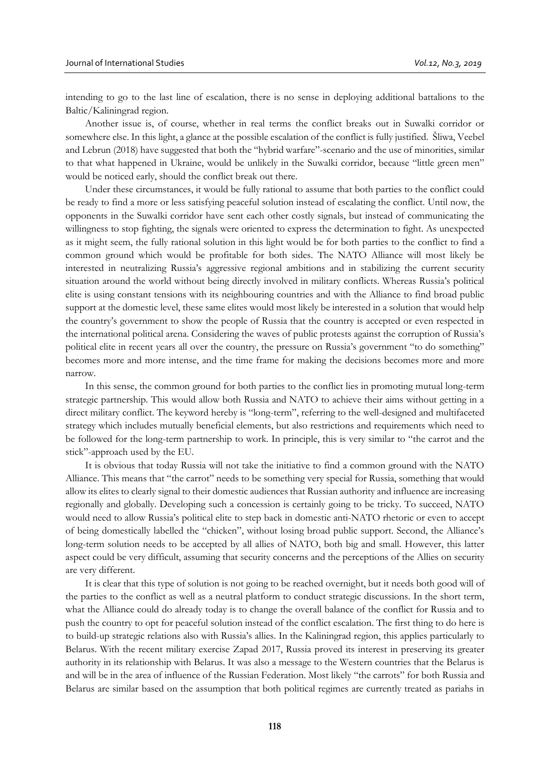intending to go to the last line of escalation, there is no sense in deploying additional battalions to the Baltic/Kaliningrad region.

Another issue is, of course, whether in real terms the conflict breaks out in Suwalki corridor or somewhere else. In this light, a glance at the possible escalation of the conflict is fully justified. Šliwa, Veebel and Lebrun (2018) have suggested that both the "hybrid warfare"-scenario and the use of minorities, similar to that what happened in Ukraine, would be unlikely in the Suwalki corridor, because "little green men" would be noticed early, should the conflict break out there.

Under these circumstances, it would be fully rational to assume that both parties to the conflict could be ready to find a more or less satisfying peaceful solution instead of escalating the conflict. Until now, the opponents in the Suwalki corridor have sent each other costly signals, but instead of communicating the willingness to stop fighting, the signals were oriented to express the determination to fight. As unexpected as it might seem, the fully rational solution in this light would be for both parties to the conflict to find a common ground which would be profitable for both sides. The NATO Alliance will most likely be interested in neutralizing Russia's aggressive regional ambitions and in stabilizing the current security situation around the world without being directly involved in military conflicts. Whereas Russia's political elite is using constant tensions with its neighbouring countries and with the Alliance to find broad public support at the domestic level, these same elites would most likely be interested in a solution that would help the country's government to show the people of Russia that the country is accepted or even respected in the international political arena. Considering the waves of public protests against the corruption of Russia's political elite in recent years all over the country, the pressure on Russia's government "to do something" becomes more and more intense, and the time frame for making the decisions becomes more and more narrow.

In this sense, the common ground for both parties to the conflict lies in promoting mutual long-term strategic partnership. This would allow both Russia and NATO to achieve their aims without getting in a direct military conflict. The keyword hereby is "long-term", referring to the well-designed and multifaceted strategy which includes mutually beneficial elements, but also restrictions and requirements which need to be followed for the long-term partnership to work. In principle, this is very similar to "the carrot and the stick"-approach used by the EU.

It is obvious that today Russia will not take the initiative to find a common ground with the NATO Alliance. This means that "the carrot" needs to be something very special for Russia, something that would allow its elites to clearly signal to their domestic audiences that Russian authority and influence are increasing regionally and globally. Developing such a concession is certainly going to be tricky. To succeed, NATO would need to allow Russia's political elite to step back in domestic anti-NATO rhetoric or even to accept of being domestically labelled the "chicken", without losing broad public support. Second, the Alliance's long-term solution needs to be accepted by all allies of NATO, both big and small. However, this latter aspect could be very difficult, assuming that security concerns and the perceptions of the Allies on security are very different.

It is clear that this type of solution is not going to be reached overnight, but it needs both good will of the parties to the conflict as well as a neutral platform to conduct strategic discussions. In the short term, what the Alliance could do already today is to change the overall balance of the conflict for Russia and to push the country to opt for peaceful solution instead of the conflict escalation. The first thing to do here is to build-up strategic relations also with Russia's allies. In the Kaliningrad region, this applies particularly to Belarus. With the recent military exercise Zapad 2017, Russia proved its interest in preserving its greater authority in its relationship with Belarus. It was also a message to the Western countries that the Belarus is and will be in the area of influence of the Russian Federation. Most likely "the carrots" for both Russia and Belarus are similar based on the assumption that both political regimes are currently treated as pariahs in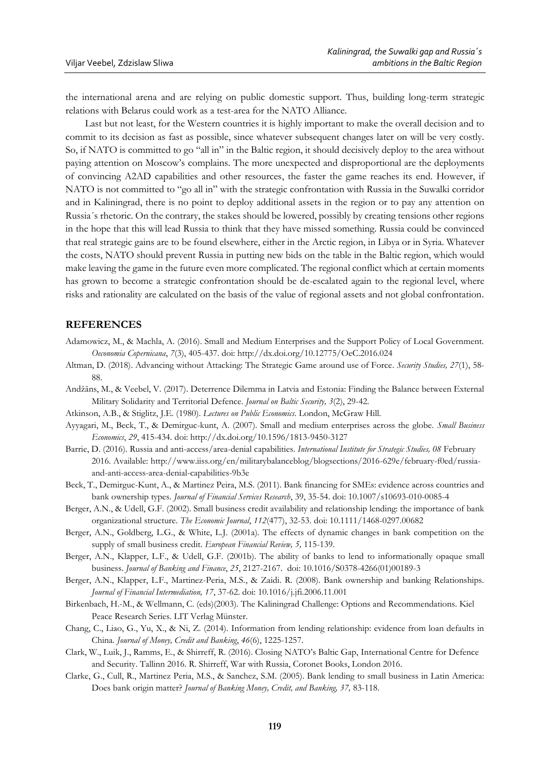the international arena and are relying on public domestic support. Thus, building long-term strategic relations with Belarus could work as a test-area for the NATO Alliance.

Last but not least, for the Western countries it is highly important to make the overall decision and to commit to its decision as fast as possible, since whatever subsequent changes later on will be very costly. So, if NATO is committed to go "all in" in the Baltic region, it should decisively deploy to the area without paying attention on Moscow's complains. The more unexpected and disproportional are the deployments of convincing A2AD capabilities and other resources, the faster the game reaches its end. However, if NATO is not committed to "go all in" with the strategic confrontation with Russia in the Suwalki corridor and in Kaliningrad, there is no point to deploy additional assets in the region or to pay any attention on Russia´s rhetoric. On the contrary, the stakes should be lowered, possibly by creating tensions other regions in the hope that this will lead Russia to think that they have missed something. Russia could be convinced that real strategic gains are to be found elsewhere, either in the Arctic region, in Libya or in Syria. Whatever the costs, NATO should prevent Russia in putting new bids on the table in the Baltic region, which would make leaving the game in the future even more complicated. The regional conflict which at certain moments has grown to become a strategic confrontation should be de-escalated again to the regional level, where risks and rationality are calculated on the basis of the value of regional assets and not global confrontation.

# **REFERENCES**

- Adamowicz, M., & Machla, A. (2016). Small and Medium Enterprises and the Support Policy of Local Government. *Oeconomia Copernicana*, *7*(3), 405-437. doi: http://dx.doi.org/10.12775/OeC.2016.024
- Altman, D. (2018). Advancing without Attacking: The Strategic Game around use of Force. *Security Studies, 27*(1), 58- 88.
- Andžāns, M., & Veebel, V. (2017). Deterrence Dilemma in Latvia and Estonia: Finding the Balance between External Military Solidarity and Territorial Defence. *Journal on Baltic Security, 3*(2), 29-42.
- Atkinson, A.B., & Stiglitz, J.E. (1980). *Lectures on Public Economics*. London, McGraw Hill.
- Ayyagari, M., Beck, T., & Demirguc-kunt, A. (2007). Small and medium enterprises across the globe. *Small Business Economics*, *29*, 415-434. doi: http://dx.doi.org/10.1596/1813-9450-3127
- Barrie, D. (2016). Russia and anti-access/area-denial capabilities. *International Institute for Strategic Studies, 08* February 2016. Available: http://www.iiss.org/en/militarybalanceblog/blogsections/2016-629e/february-f0ed/russiaand-anti-access-area-denial-capabilities-9b3e
- Beck, T., Demirguc-Kunt, A., & Martinez Peira, M.S. (2011). Bank financing for SMEs: evidence across countries and bank ownership types. *Journal of Financial Services Research*, 39, 35-54. doi: 10.1007/s10693-010-0085-4
- Berger, A.N., & Udell, G.F. (2002). Small business credit availability and relationship lending: the importance of bank organizational structure. *The Economic Journal*, *112*(477), 32-53. doi: 10.1111/1468-0297.00682
- Berger, A.N., Goldberg, L.G., & White, L.J. (2001a). The effects of dynamic changes in bank competition on the supply of small business credit. *European Financial Review, 5,* 115-139.
- Berger, A.N., Klapper, L.F., & Udell, G.F. (2001b). The ability of banks to lend to informationally opaque small business. *Journal of Banking and Finance*, *25*, 2127-2167. doi: 10.1016/S0378-4266(01)00189-3
- Berger, A.N., Klapper, L.F., Martinez-Peria, M.S., & Zaidi. R. (2008). Bank ownership and banking Relationships. *Journal of Financial Intermediation, 17*, 37-62. doi: 10.1016/j.jfi.2006.11.001
- Birkenbach, H.-M., & Wellmann, C. (eds)(2003). The Kaliningrad Challenge: Options and Recommendations. Kiel Peace Research Series. LIT Verlag Münster.
- Chang, C., Liao, G., Yu, X., & Ni, Z. (2014). Information from lending relationship: evidence from loan defaults in China*. Journal of Money, Credit and Banking*, *46*(6), 1225-1257.
- Clark, W., Luik, J., Ramms, E., & Shirreff, R. (2016). Closing NATO's Baltic Gap, International Centre for Defence and Security. Tallinn 2016. R. Shirreff, War with Russia, Coronet Books, London 2016.
- Clarke, G., Cull, R., Martinez Peria, M.S., & Sanchez, S.M. (2005). Bank lending to small business in Latin America: Does bank origin matter? *Journal of Banking Money, Credit, and Banking, 37,* 83-118.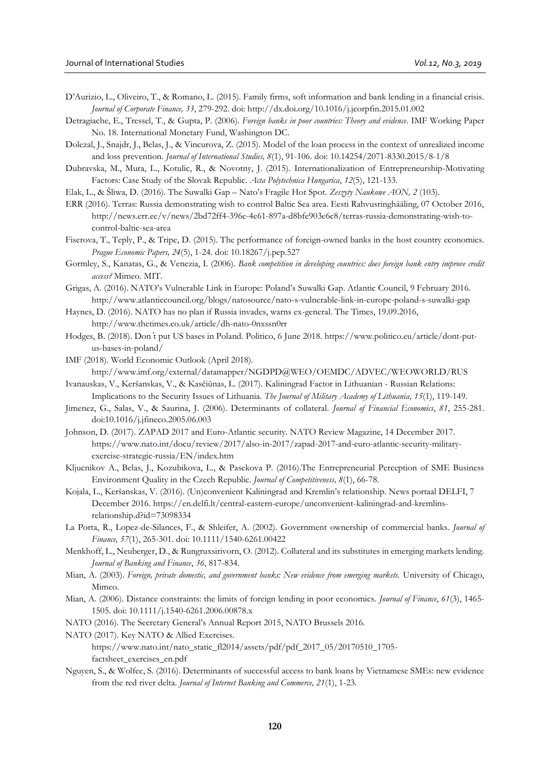- D'Aurizio, L., Oliveiro, T., & Romano, L. (2015). Family firms, soft information and bank lending in a financial crisis. *Journal of Corporate Finance, 33*, 279-292. doi: http://dx.doi.org/10.1016/j.jcorpfin.2015.01.002
- Detragiache, E., Tressel, T., & Gupta, P. (2006). *Foreign banks in poor countries: Theory and evidence*. IMF Working Paper No. 18. International Monetary Fund, Washington DC.
- Dolezal, J., Snajdr, J., Belas, J., & Vincurova, Z. (2015). Model of the loan process in the context of unrealized income and loss prevention*. Journal of International Studies, 8*(1), 91-106. doi: 10.14254/2071-8330.2015/8-1/8
- Dubravska, M., Mura, L., Kotulic, R., & Novotny, J. (2015). Internationalization of Entrepreneurship-Motivating Factors: Case Study of the Slovak Republic. *Acta Polytechnica Hungarica*, *12*(5), 121-133.
- Elak, L., & Šliwa, D. (2016). The Suwalki Gap Nato's Fragile Hot Spot. *Zeszyty Naukowe AON, 2* (103).
- ERR (2016). Terras: Russia demonstrating wish to control Baltic Sea area. Eesti Rahvusringhääling, 07 October 2016, http://news.err.ee/v/news/2bd72ff4-396e-4e61-897a-d8bfe903e6c8/terras-russia-demonstrating-wish-tocontrol-baltic-sea-area
- Fiserova, T., Teply, P., & Tripe, D. (2015). The performance of foreign-owned banks in the host country economics. *Prague Economic Papers, 24*(5), 1-24. doi: 10.18267/j.pep.527
- Gormley, S., Kanatas, G., & Venezia, I. (2006). *Bank competition in developing countries: does foreign bank entry improve credit access?* Mimeo. MIT.
- Grigas, A. (2016). NATO's Vulnerable Link in Europe: Poland's Suwalki Gap. Atlantic Council, 9 February 2016. http://www.atlanticcouncil.org/blogs/natosource/nato-s-vulnerable-link-in-europe-poland-s-suwalki-gap
- Haynes, D. (2016). NATO has no plan if Russia invades, warns ex-general. The Times, 19.09.2016, http://www.thetimes.co.uk/article/dh-nato-0nxssn0rr
- Hodges, B. (2018). Don ̓t put US bases in Poland. Politico, 6 June 2018. https://www.politico.eu/article/dont-putus-bases-in-poland/
- IMF (2018). World Economic Outlook (April 2018). http://www.imf.org/external/datamapper/NGDPD@WEO/OEMDC/ADVEC/WEOWORLD/RUS Ivanauskas, V., Keršanskas, V., & Kasčiūnas, L. (2017). Kaliningrad Factor in Lithuanian - Russian Relations:
- Implications to the Security Issues of Lithuania. *The Journal of Military Academy of Lithuania, 15*(1), 119-149.
- Jimenez, G., Salas, V., & Saurina, J. (2006). Determinants of collateral. *Journal of Financial Economics*, *81*, 255-281. doi:10.1016/j.jfineco.2005.06.003
- Johnson, D. (2017). ZAPAD 2017 and Euro-Atlantic security. NATO Review Magazine, 14 December 2017. [https://www.nato.int/docu/review/2017/also-in-2017/zapad-2017-and-euro-atlantic-security-military](https://www.nato.int/docu/review/2017/also-in-2017/zapad-2017-and-euro-atlantic-security-military-exercise-strategic-russia/EN/index.htm)[exercise-strategic-russia/EN/index.htm](https://www.nato.int/docu/review/2017/also-in-2017/zapad-2017-and-euro-atlantic-security-military-exercise-strategic-russia/EN/index.htm)
- Kljucnikov A., Belas, J., Kozubikova, L., & Pasekova P. (2016).The Entrepreneurial Perception of SME Business Environment Quality in the Czech Republic. *Journal of Competitiveness, 8*(1), 66-78.
- Kojala, L., Keršanskas, V. (2016). (Un)convenient Kaliningrad and Kremlin's relationship. News portaal DELFI, 7 December 2016. https://en.delfi.lt/central-eastern-europe/unconvenient-kaliningrad-and-kremlinsrelationship.d?id=73098334
- La Porta, R., Lopez-de-Silances, F., & Shleifer, A. (2002). Government ownership of commercial banks. *Journal of Finance, 57*(1), 265-301. doi: 10.1111/1540-6261.00422
- Menkhoff, L., Neuberger, D., & Rungruxsirivorn, O. (2012). Collateral and its substitutes in emerging markets lending. *Journal of Banking and Finance*, *36*, 817-834.
- Mian, A. (2003). *Foreign, private domestic, and government banks: New evidence from emerging markets.* University of Chicago, Mimeo.
- Mian, A. (2006). Distance constraints: the limits of foreign lending in poor economics. *Journal of Finance*, *61*(3), 1465- 1505. doi: 10.1111/j.1540-6261.2006.00878.x
- NATO (2016). The Secretary General's Annual Report 2015, NATO Brussels 2016.
- NATO (2017). Key NATO & Allied Exercises. https://www.nato.int/nato\_static\_fl2014/assets/pdf/pdf\_2017\_05/20170510\_1705 factsheet\_exercises\_en.pdf
- Nguyen, S., & Wolfee, S. (2016). Determinants of successful access to bank loans by Vietnamese SMEs: new evidence from the red river delta. *Journal of Internet Banking and Commerce, 21*(1), 1-23.